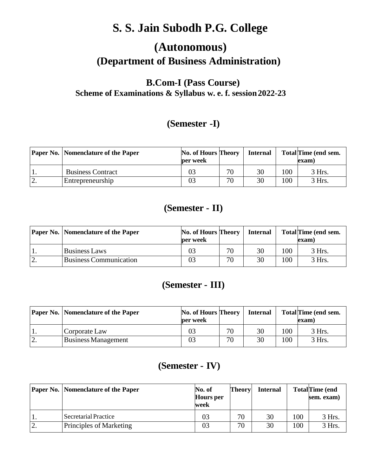# **S. S. Jain Subodh P.G. College**

# **(Autonomous) (Department of Business Administration)**

## **B.Com-I (Pass Course) Scheme of Examinations & Syllabus w. e. f. session2022-23**

# **(Semester -I)**

|           | <b>Paper No.   Nomenclature of the Paper</b> | No. of Hours Theory<br><b>per</b> week |    | <b>Internal</b> |     | Total Time (end sem.<br>exam) |
|-----------|----------------------------------------------|----------------------------------------|----|-----------------|-----|-------------------------------|
| 1.        | <b>Business Contract</b>                     | 03                                     | 70 | 30              | 100 | 3 Hrs.                        |
| <u>L.</u> | Entrepreneurship                             | 03                                     | 70 | 30              | 100 | 3 Hrs.                        |

## **(Semester - II)**

|    | <b>Paper No.   Nomenclature of the Paper</b> | No. of Hours Theory<br>per week |    | <b>Internal</b> |     | Total Time (end sem.<br>(exam |
|----|----------------------------------------------|---------------------------------|----|-----------------|-----|-------------------------------|
| ., | Business Laws                                | 03                              | 70 | 30              | 100 | 3 Hrs.                        |
|    | <b>Business Communication</b>                | 03                              | 70 | 30              | 100 | 3 Hrs.                        |

## **(Semester - III)**

| Paper No.   Nomenclature of the Paper | No. of Hours Theory<br>per week |    | <b>Internal</b> |     | <b>Total Time (end sem.</b><br>(exam |
|---------------------------------------|---------------------------------|----|-----------------|-----|--------------------------------------|
| Corporate Law                         | 03                              | 70 | 30              | 100 | $3$ Hrs.                             |
| <b>Business Management</b>            | 03                              | 70 | 30              | 100 | 3 Hrs.                               |

# **(Semester - IV)**

|         | <b>Paper No.   Nomenclature of the Paper</b> | No. of<br><b>Hours</b> per<br>week | <b>Theory</b> | <b>Internal</b> |                 | <b>TotalTime</b> (end<br>sem. exam) |
|---------|----------------------------------------------|------------------------------------|---------------|-----------------|-----------------|-------------------------------------|
|         | Secretarial Practice                         | 03                                 | 70            | 30              | 00 <sub>1</sub> | 3 Hrs.                              |
| ി<br>٠. | Principles of Marketing                      | 03                                 | 70            | 30              | 00              | 3 Hrs.                              |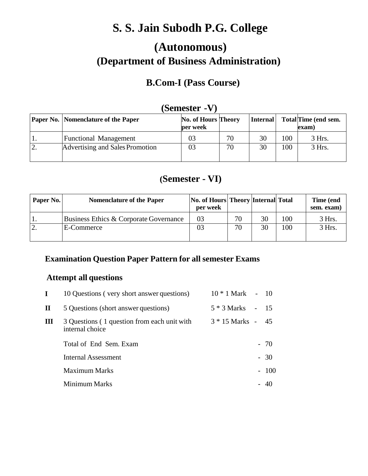# **S. S. Jain Subodh P.G. College**

# **(Autonomous) (Department of Business Administration)**

# **B.Com-I (Pass Course)**

| $D$ unout - $\mathbf{v}$ / |                                              |                                        |    |                 |     |                               |  |
|----------------------------|----------------------------------------------|----------------------------------------|----|-----------------|-----|-------------------------------|--|
|                            | <b>Paper No.   Nomenclature of the Paper</b> | <b>No. of Hours Theory</b><br>per week |    | <b>Internal</b> |     | Total Time (end sem.<br>exam) |  |
|                            | <b>Functional Management</b>                 | 03                                     | 70 | 30              | 100 | 3 Hrs.                        |  |
| ، ب                        | Advertising and Sales Promotion              | 03                                     | 70 | 30              | 100 | 3 Hrs.                        |  |

## **(Semester -V)**

## **(Semester - VI)**

| Paper No. | <b>Nomenclature of the Paper</b>       | <b>No. of Hours Theory Internal Total</b><br>per week |    |    |     | Time (end<br>sem. exam) |
|-----------|----------------------------------------|-------------------------------------------------------|----|----|-----|-------------------------|
|           | Business Ethics & Corporate Governance | 03                                                    | 70 | 30 | 100 | 3 Hrs.                  |
|           | E-Commerce                             | 03                                                    | 70 | 30 | 100 | 3 Hrs.                  |
|           |                                        |                                                       |    |    |     |                         |

## **Examination Question Paper Pattern for all semester Exams**

### **Attempt all questions**

| $10 * 1$ Mark - 10                     |
|----------------------------------------|
|                                        |
| -45                                    |
| $-70$                                  |
| $-30$                                  |
| $-100$                                 |
| 40                                     |
| $5 * 3$ Marks - 15<br>$3 * 15$ Marks - |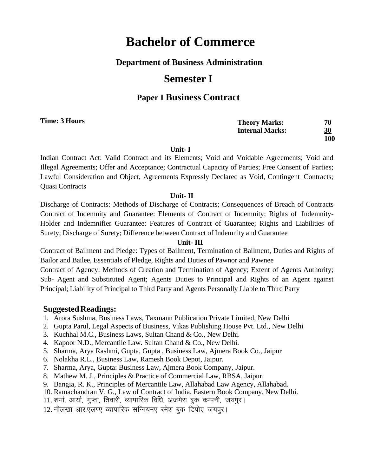### **Department of Business Administration**

## **Semester I**

### **Paper I Business Contract**

| Time: 3 Hours | <b>Theory Marks:</b>   | 70        |
|---------------|------------------------|-----------|
|               | <b>Internal Marks:</b> | <u>30</u> |
|               |                        | 100       |
|               |                        |           |

**Unit- I**

Indian Contract Act: Valid Contract and its Elements; Void and Voidable Agreements; Void and Illegal Agreements; Offer and Acceptance; Contractual Capacity of Parties; Free Consent of Parties; Lawful Consideration and Object, Agreements Expressly Declared as Void, Contingent Contracts; Quasi Contracts

#### **Unit- II**

Discharge of Contracts: Methods of Discharge of Contracts; Consequences of Breach of Contracts Contract of Indemnity and Guarantee: Elements of Contract of Indemnity; Rights of Indemnity-Holder and Indemnifier Guarantee: Features of Contract of Guarantee; Rights and Liabilities of Surety; Discharge of Surety; Difference between Contract of Indemnity and Guarantee

#### **Unit- III**

Contract of Bailment and Pledge: Types of Bailment, Termination of Bailment, Duties and Rights of Bailor and Bailee, Essentials of Pledge, Rights and Duties of Pawnor and Pawnee Contract of Agency: Methods of Creation and Termination of Agency; Extent of Agents Authority; Sub- Agent and Substituted Agent; Agents Duties to Principal and Rights of an Agent against

Principal; Liability of Principal to Third Party and Agents Personally Liable to Third Party

- 1. Arora Sushma, Business Laws, Taxmann Publication Private Limited, New Delhi
- 2. Gupta Parul, Legal Aspects of Business, Vikas Publishing House Pvt. Ltd., New Delhi
- 3. Kuchhal M.C., Business Laws, Sultan Chand & Co., New Delhi.
- 4. Kapoor N.D., Mercantile Law. Sultan Chand & Co., New Delhi.
- 5. Sharma, Arya Rashmi, Gupta, Gupta , Business Law, Ajmera Book Co., Jaipur
- 6. Nolakha R.L., Business Law, Ramesh Book Depot, Jaipur.
- 7. Sharma, Arya, Gupta: Business Law, Ajmera Book Company, Jaipur.
- 8. Mathew M. J., Principles & Practice of Commercial Law, RBSA, Jaipur.
- 9. Bangia, R. K., Principles of Mercantile Law, Allahabad Law Agency, Allahabad.
- 10. Ramachandran V. G., Law of Contract of India, Eastern Book Company, New Delhi.
- 11. शर्मा, आर्या, गुप्ता, तिवारी, व्यापारिक विधि, अजमेरा बुक कम्पनी, जयपुर।
- 12. नौलखा आर.एलण्ए व्यापारिक सन्नियमए रमेश बुक डिपोए जयपुर।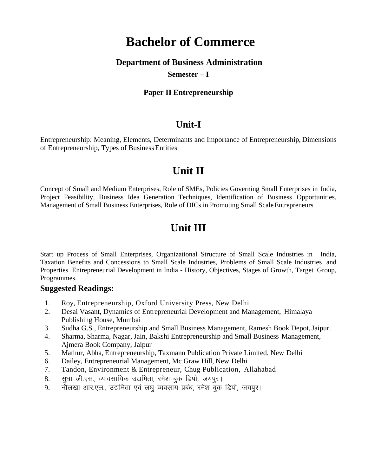#### **Department of Business Administration**

#### **Semester – I**

#### **Paper II Entrepreneurship**

#### **Unit-I**

Entrepreneurship: Meaning, Elements, Determinants and Importance of Entrepreneurship, Dimensions of Entrepreneurship, Types of BusinessEntities

# **Unit II**

Concept of Small and Medium Enterprises, Role of SMEs, Policies Governing Small Enterprises in India, Project Feasibility, Business Idea Generation Techniques, Identification of Business Opportunities, Management of Small Business Enterprises, Role of DICs in Promoting Small ScaleEntrepreneurs

# **Unit III**

Start up Process of Small Enterprises, Organizational Structure of Small Scale Industries in India, Taxation Benefits and Concessions to Small Scale Industries, Problems of Small Scale Industries and Properties. Entrepreneurial Development in India - History, Objectives, Stages of Growth, Target Group, Programmes.

- 1. Roy, Entrepreneurship, Oxford University Press, New Delhi
- 2. Desai Vasant, Dynamics of Entrepreneurial Development and Management, Himalaya Publishing House, Mumbai
- 3. Sudha G.S., Entrepreneurship and Small Business Management, Ramesh Book Depot,Jaipur.
- 4. Sharma, Sharma, Nagar, Jain, Bakshi Entrepreneurship and Small Business Management, Ajmera Book Company, Jaipur
- 5. Mathur, Abha, Entrepreneurship, Taxmann Publication Private Limited, New Delhi
- 6. Dailey, Entrepreneurial Management, Mc Graw Hill, New Delhi
- 7. Tandon, Environment & Entrepreneur, Chug Publication, Allahabad
- 8. सुधा जी.एस., व्यावसायिक उद्यमिता, रमेश बुक डिपो, जयपुर।
- 9. नौलखा आर.एल., उद्यमिता एवं लघु व्यवसाय प्रबंध, रमेश बुक डिपो, जयपुर।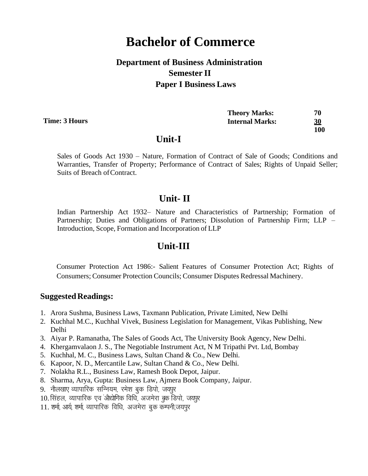## **Department of Business Administration Semester II Paper I Business Laws**

**Time: 3 Hours**

| <b>Theory Marks:</b>   | 70        |
|------------------------|-----------|
| <b>Internal Marks:</b> | <u>30</u> |
|                        | 100       |

#### **Unit-I**

Sales of Goods Act 1930 – Nature, Formation of Contract of Sale of Goods; Conditions and Warranties, Transfer of Property; Performance of Contract of Sales; Rights of Unpaid Seller; Suits of Breach of Contract.

#### **Unit- II**

Indian Partnership Act 1932– Nature and Characteristics of Partnership; Formation of Partnership; Duties and Obligations of Partners; Dissolution of Partnership Firm; LLP – Introduction, Scope, Formation and Incorporation of LLP

### **Unit-III**

Consumer Protection Act 1986:- Salient Features of Consumer Protection Act; Rights of Consumers; Consumer Protection Councils; Consumer Disputes Redressal Machinery.

- 1. Arora Sushma, Business Laws, Taxmann Publication, Private Limited, New Delhi
- 2. Kuchhal M.C., Kuchhal Vivek, Business Legislation for Management, Vikas Publishing, New Delhi
- 3. Aiyar P. Ramanatha, The Sales of Goods Act, The University Book Agency, New Delhi.
- 4. Khergamvalaon J. S., The Negotiable Instrument Act, N M Tripathi Pvt. Ltd, Bombay
- 5. Kuchhal, M. C., Business Laws, Sultan Chand & Co., New Delhi.
- 6. Kapoor, N. D., Mercantile Law, Sultan Chand & Co., New Delhi.
- 7. Nolakha R.L., Business Law, Ramesh Book Depot, Jaipur.
- 8. Sharma, Arya, Gupta: Business Law, Ajmera Book Company, Jaipur.
- 9. नौलखाए व्यापारिक सन्नियम, रमेश बुक डिपो, जयपुर
- 10. सिंहल, व्यापारिक एवं ओद्योगिक विधि, अजमेरा बक डिपो, जयपर
- 11. शर्मा, आर्य, शर्मा, व्यापारिक विधि, अजमेरा बुक कम्पनी,जयपुर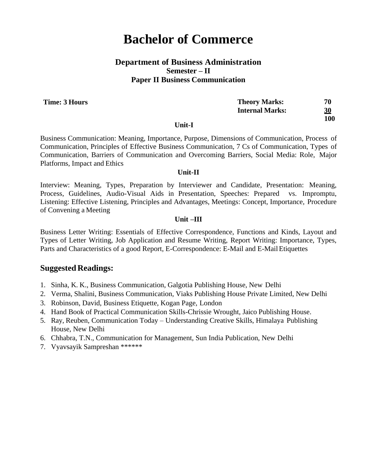#### **Department of Business Administration Semester – II Paper II Business Communication**

**Time: 3 Hours**

| <b>Theory Marks:</b>   | 70        |
|------------------------|-----------|
| <b>Internal Marks:</b> | <u>30</u> |
|                        | 100       |

#### **Unit-I**

Business Communication: Meaning, Importance, Purpose, Dimensions of Communication, Process of Communication, Principles of Effective Business Communication, 7 Cs of Communication, Types of Communication, Barriers of Communication and Overcoming Barriers, Social Media: Role, Major Platforms, Impact and Ethics

#### **Unit-II**

Interview: Meaning, Types, Preparation by Interviewer and Candidate, Presentation: Meaning, Process, Guidelines, Audio-Visual Aids in Presentation, Speeches: Prepared vs. Impromptu, Listening: Effective Listening, Principles and Advantages, Meetings: Concept, Importance, Procedure of Convening a Meeting

#### **Unit –III**

Business Letter Writing: Essentials of Effective Correspondence, Functions and Kinds, Layout and Types of Letter Writing, Job Application and Resume Writing, Report Writing: Importance, Types, Parts and Characteristics of a good Report, E-Correspondence: E-Mail and E-Mail Etiquettes

- 1. Sinha, K. K., Business Communication, Galgotia Publishing House, New Delhi
- 2. Verma, Shalini, Business Communication, Viaks Publishing House Private Limited, New Delhi
- 3. Robinson, David, Business Etiquette, Kogan Page, London
- 4. Hand Book of Practical Communication Skills-Chrissie Wrought, Jaico Publishing House.
- 5. Ray, Reuben, Communication Today Understanding Creative Skills, Himalaya Publishing House, New Delhi
- 6. Chhabra, T.N., Communication for Management, Sun India Publication, New Delhi
- 7. Vyavsayik Sampreshan \*\*\*\*\*\*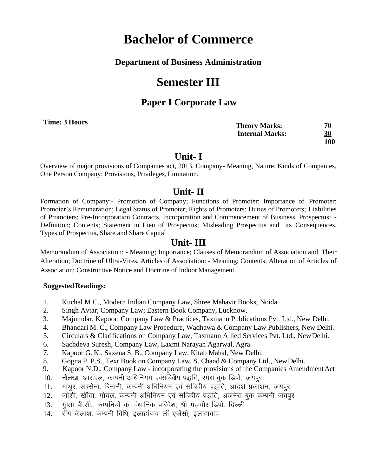#### **Department of Business Administration**

# **Semester III**

### **Paper I Corporate Law**

**Time: 3 Hours**

| <b>Theory Marks:</b>   | 70  |
|------------------------|-----|
| <b>Internal Marks:</b> | 30  |
|                        | 100 |

### **Unit- I**

Overview of major provisions of Companies act, 2013, Company- Meaning, Nature, Kinds of Companies, One Person Company: Provisions, Privileges, Limitation.

### **Unit- II**

Formation of Company:- Promotion of Company; Functions of Promoter; Importance of Promoter; Promoter's Remuneration; Legal Status of Promoter; Rights of Promoters; Duties of Promoters; Liabilities of Promoters; Pre-Incorporation Contracts, Incorporation and Commencement of Business. Prospectus: - Definition; Contents; Statement in Lieu of Prospectus; Misleading Prospectus and its Consequences, Types of Prospectus**,** Share and Share Capital

### **Unit- III**

Memorandum of Association: - Meaning; Importance; Clauses of Memorandum of Association and Their Alteration; Doctrine of Ultra-Vires, Articles of Association: - Meaning; Contents; Alteration of Articles of Association; Constructive Notice and Doctrine of Indoor Management.

- 1. Kuchal M.C., Modern Indian Company Law, Shree Mahavir Books, Noida.
- 2. Singh Avtar, Company Law; Eastern Book Company, Lucknow.
- 3. Majumdar, Kapoor, Company Law & Practices, Taxmann Publications Pvt. Ltd., New Delhi.
- 4. Bhandari M. C., Company Law Procedure, Wadhawa & Company Law Publishers, New Delhi.
- 5. Circulars & Clarifications on Company Law, Taxmann Allied Services Pvt. Ltd., NewDelhi.
- 6. Sachdeva Suresh, Company Law, Laxmi Narayan Agarwal, Agra.
- 7. Kapoor G. K., Saxena S. B., Company Law, Kitab Mahal, New Delhi.
- 8. Gogna P. P.S., Text Book on Company Law, S. Chand & Company Ltd., NewDelhi.
- 9. Kapoor N.D., Company Law incorporating the provisions of the Companies Amendment Act
- 10. नौलखा, आर.एल, कम्पनी अधिनियम एवंसचिवीय पद्धति, रमेश बुक डिपो, जयपुर
- 11. माथूर, सक्सेना, बिनानी, कम्पनी अधिनियम एवं सचिवीय पद्धति, आदर्श प्रकाशन, जयपूर
- 12. ) जोशी, खींचा, गोयल, कम्पनी अधिनियम एवं सचिवीय पद्धति, अजमेरा बुक कम्पनी जयपुर
- 13. गुप्ता पी.सी., कम्पनियों का वैधानिक परिवेश, श्री महावीर डिपो, दिल्ली
- 14. रॉय कैलाश, कम्पनी विधि, इलाहांबाद लॉ एजेंसी, इलाहाबाद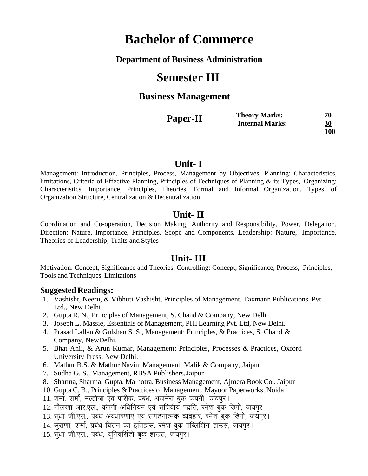#### **Department of Business Administration**

# **Semester III**

### **Business Management**

| Paper-II | <b>Theory Marks:</b>   | 70        |
|----------|------------------------|-----------|
|          | <b>Internal Marks:</b> | <u>30</u> |
|          |                        | 100       |

#### **Unit- I**

Management: Introduction, Principles, Process, Management by Objectives, Planning: Characteristics, limitations, Criteria of Effective Planning, Principles of Techniques of Planning & its Types, Organizing: Characteristics, Importance, Principles, Theories, Formal and Informal Organization, Types of Organization Structure, Centralization & Decentralization

#### **Unit- II**

Coordination and Co-operation, Decision Making, Authority and Responsibility, Power, Delegation, Direction: Nature, Importance, Principles, Scope and Components, Leadership: Nature, Importance, Theories of Leadership, Traits and Styles

#### **Unit- III**

Motivation: Concept, Significance and Theories, Controlling: Concept, Significance, Process, Principles, Tools and Techniques, Limitations

- 1. Vashisht, Neeru, & Vibhuti Vashisht, Principles of Management, Taxmann Publications Pvt. Ltd., New Delhi
- 2. Gupta R. N., Principles of Management, S. Chand & Company, New Delhi
- 3. Joseph L. Massie, Essentials of Management, PHI Learning Pvt. Ltd, New Delhi.
- 4. Prasad Lallan & Gulshan S. S., Management: Principles, & Practices, S. Chand & Company, NewDelhi.
- 5. Bhat Anil, & Arun Kumar, Management: Principles, Processes & Practices, Oxford University Press, New Delhi.
- 6. Mathur B.S. & Mathur Navin, Management, Malik & Company, Jaipur
- 7. Sudha G. S., Management, RBSA Publishers,Jaipur
- 8. Sharma, Sharma, Gupta, Malhotra, Business Management, Ajmera Book Co., Jaipur
- 10. Gupta C. B., Principles & Practices of Management, Mayoor Paperworks, Noida
- 11. शर्मा, शर्मा, मल्होत्रा एवं पारीक, प्रबंध, अजमेरा बुक कंपनी, जयपुर।
- 12. नौलखा आर.एल., कंपनी अधिनियम एवं सचिवीय पद्वति, रमेश बक डिपो, जयपर।
- 13. सुधा जी.एस., प्रबंध अवधारणाएं एवं संगठनात्मक व्यवहार, रमेश बुक डिपों, जयपुर।
- 14. सुराणा, शर्मा, प्रबंध चिंतन का इतिहास, रमेश बुक पब्लिशिंग हाउस, जयपुर।
- 15. सुधा जी.एस., प्रबंध, युनिवर्सिटी बुक हाउस, जयपुर।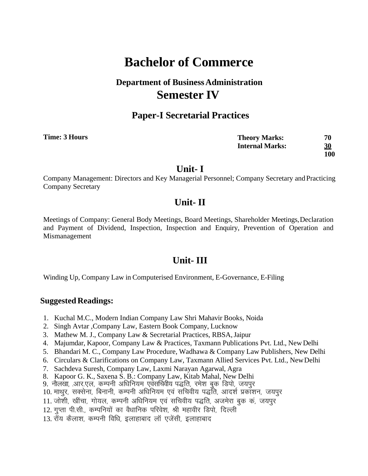# **Department of BusinessAdministration Semester IV**

### **Paper-I Secretarial Practices**

| Time: 3 Hours | <b>Theory Marks:</b>   | 70  |
|---------------|------------------------|-----|
|               | <b>Internal Marks:</b> | 30  |
|               |                        | 100 |

#### **Unit- I**

Company Management: Directors and Key Managerial Personnel; Company Secretary andPracticing Company Secretary

### **Unit- II**

Meetings of Company: General Body Meetings, Board Meetings, Shareholder Meetings, Declaration and Payment of Dividend, Inspection, Inspection and Enquiry, Prevention of Operation and Mismanagement

### **Unit- III**

Winding Up, Company Law in Computerised Environment, E-Governance, E-Filing

- 1. Kuchal M.C., Modern Indian Company Law Shri Mahavir Books, Noida
- 2. Singh Avtar ,Company Law, Eastern Book Company, Lucknow
- 3. Mathew M. J., Company Law & Secretarial Practices, RBSA,Jaipur
- 4. Majumdar, Kapoor, Company Law & Practices, Taxmann Publications Pvt. Ltd., New Delhi
- 5. Bhandari M. C., Company Law Procedure, Wadhawa & Company Law Publishers, New Delhi
- 6. Circulars & Clarifications on Company Law, Taxmann Allied Services Pvt. Ltd., NewDelhi
- 7. Sachdeva Suresh, Company Law, Laxmi Narayan Agarwal, Agra
- 8. Kapoor G. K., Saxena S. B.: Company Law, Kitab Mahal, New Delhi
- 9. नौलखा, आर.एल, कम्पनी अधिनियम एवंसर्चिवीय पद्धति, रमेश बुक डिपो, जयपुर
- 10. माथुर, सक्सेना, बिनानी, कम्पनी अधिनियम एवं सचिवीय पद्धति, आदर्श प्रकाशन, जयपुर
- 11. जोशी, खींचा, गोयल, कम्पनी अधिनियम एवं सचिवीय पद्धति, अजमेरा बुक कं, जयपुर
- 12. गुप्ता पी.सी., कम्पनियों का वैधानिक परिवेश, श्री महावीर डिपो, दिल्ली
- 13. रॉय कैलाश, कम्पनी विधि, इलाहाबाद लॉ एजेंसी, इलाहाबाद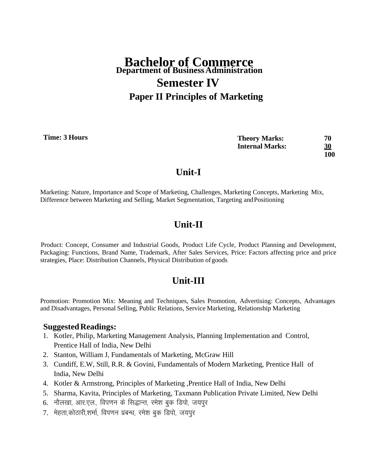# **Bachelor of Commerce Department of BusinessAdministration Semester IV Paper II Principles of Marketing**

**Time: 3 Hours**

**Theory Marks: 70 Internal Marks: 30 100**

## **Unit-I**

Marketing: Nature, Importance and Scope of Marketing, Challenges, Marketing Concepts, Marketing Mix, Difference between Marketing and Selling, Market Segmentation, Targeting and Positioning

## **Unit-II**

Product: Concept, Consumer and Industrial Goods, Product Life Cycle, Product Planning and Development, Packaging: Functions, Brand Name, Trademark, After Sales Services, Price: Factors affecting price and price strategies, Place: Distribution Channels, Physical Distribution of goods

# **Unit-III**

Promotion: Promotion Mix: Meaning and Techniques, Sales Promotion, Advertising: Concepts, Advantages and Disadvantages, Personal Selling, Public Relations, Service Marketing, Relationship Marketing

- 1. Kotler, Philip, Marketing Management Analysis, Planning Implementation and Control, Prentice Hall of India, New Delhi
- 2. Stanton, William J, Fundamentals of Marketing, McGraw Hill
- 3. Cundiff, E.W, Still, R.R. & Govini, Fundamentals of Modern Marketing, Prentice Hall of India, New Delhi
- 4. Kotler & Armstrong, Principles of Marketing ,Prentice Hall of India, New Delhi
- 5. Sharma, Kavita, Principles of Marketing, Taxmann Publication Private Limited, New Delhi
- 6. नौलखा, आर.एल., विपणन के सिद्धान्त, रमेश बुक डिपो, जयपुर
- 7. मेहता,कोठारी,शर्मा, विपणन प्रबन्ध, रमेश बुक डिपो, जयपुर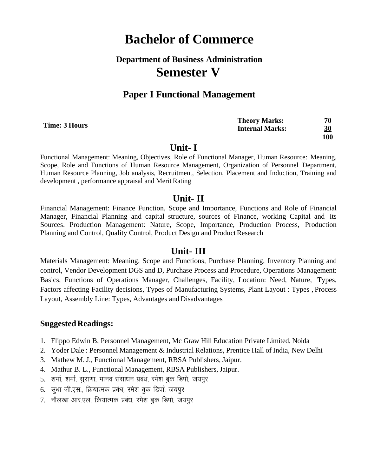# **Department of Business Administration Semester V**

### **Paper I Functional Management**

| 3 Hours | <b>Theory Marks:</b>   | 70  |
|---------|------------------------|-----|
|         | <b>Internal Marks:</b> | 30  |
|         |                        | 100 |

#### **Unit- I**

Functional Management: Meaning, Objectives, Role of Functional Manager, Human Resource: Meaning, Scope, Role and Functions of Human Resource Management, Organization of Personnel Department, Human Resource Planning, Job analysis, Recruitment, Selection, Placement and Induction, Training and development , performance appraisal and Merit Rating

#### **Unit- II**

Financial Management: Finance Function, Scope and Importance, Functions and Role of Financial Manager, Financial Planning and capital structure, sources of Finance, working Capital and its Sources. Production Management: Nature, Scope, Importance, Production Process, Production Planning and Control, Quality Control, Product Design and Product Research

#### **Unit- III**

Materials Management: Meaning, Scope and Functions, Purchase Planning, Inventory Planning and control, Vendor Development DGS and D, Purchase Process and Procedure, Operations Management: Basics, Functions of Operations Manager, Challenges, Facility, Location: Need, Nature, Types, Factors affecting Facility decisions, Types of Manufacturing Systems, Plant Layout : Types , Process Layout, Assembly Line: Types, Advantages and Disadvantages

#### **Suggested Readings:**

- 1. Flippo Edwin B, Personnel Management, Mc Graw Hill Education Private Limited, Noida
- 2. Yoder Dale : Personnel Management & Industrial Relations, Prentice Hall of India, New Delhi
- 3. Mathew M. J., Functional Management, RBSA Publishers, Jaipur.
- 4. Mathur B. L., Functional Management, RBSA Publishers, Jaipur.
- 5. शर्मा, शर्मा, सुराणा, मानव संसाधन प्रबंध, रमेश बुक डिपो, जयपूर
- 6. सुधा जी.एस., क्रियात्मक प्रबंध, रमेश बुक डिपा, जयपूर
- 7. नौलखा आर.एल, क्रियात्मक प्रबंध, रमेश बुक डिपो, जयपुर

**Time:**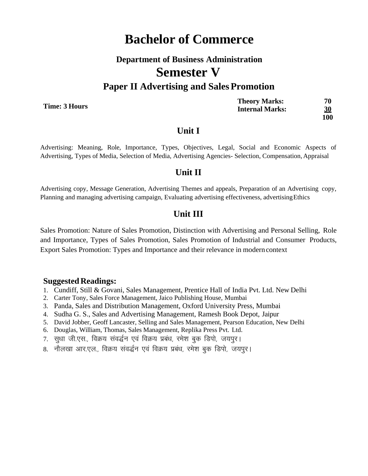# **Department of Business Administration Semester V Paper II Advertising and Sales Promotion**

**Time: 3 Hours**

| <b>Theory Marks:</b>   | 70         |
|------------------------|------------|
| <b>Internal Marks:</b> | 30         |
|                        | <b>100</b> |

#### **Unit I**

Advertising: Meaning, Role, Importance, Types, Objectives, Legal, Social and Economic Aspects of Advertising, Types of Media, Selection of Media, Advertising Agencies- Selection, Compensation, Appraisal

#### **Unit II**

Advertising copy, Message Generation, Advertising Themes and appeals, Preparation of an Advertising copy, Planning and managing advertising campaign, Evaluating advertising effectiveness, advertisingEthics

#### **Unit III**

Sales Promotion: Nature of Sales Promotion, Distinction with Advertising and Personal Selling, Role and Importance, Types of Sales Promotion, Sales Promotion of Industrial and Consumer Products, Export Sales Promotion: Types and Importance and their relevance in modern context

- 1. Cundiff, Still & Govani, Sales Management, Prentice Hall of India Pvt. Ltd. New Delhi
- 2. Carter Tony, Sales Force Management, Jaico Publishing House, Mumbai
- 3. Panda, Sales and Distribution Management, Oxford University Press, Mumbai
- 4. Sudha G. S., Sales and Advertising Management, Ramesh Book Depot, Jaipur
- 5. David Jobber, Geoff Lancaster, Selling and Sales Management, Pearson Education, New Delhi
- 6. Douglas, William, Thomas, Sales Management, Replika Press Pvt. Ltd.
- 7. सुधा जी.एस., विक्रय संवर्द्धन एवं विक्रय प्रबंध, रमेश बुक डिपो, जयपुर।
- 8. नौलखा आर.एल., विक्रय संवर्द्धन एवं विक्रय प्रबंध, रमेश बुक डिपो, जयपुर।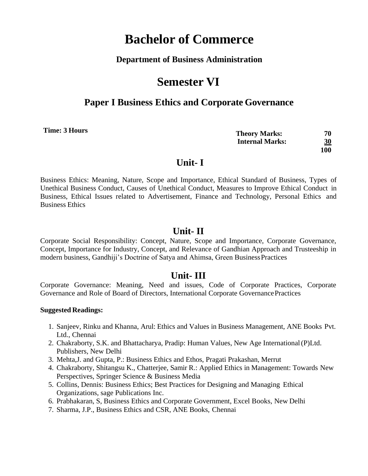#### **Department of Business Administration**

# **Semester VI**

### **Paper I Business Ethics and Corporate Governance**

**Time: 3 Hours**

**Theory Marks: 70 Internal Marks: 30 100**

## **Unit- I**

Business Ethics: Meaning, Nature, Scope and Importance, Ethical Standard of Business, Types of Unethical Business Conduct, Causes of Unethical Conduct, Measures to Improve Ethical Conduct in Business, Ethical Issues related to Advertisement, Finance and Technology, Personal Ethics and Business Ethics

### **Unit- II**

Corporate Social Responsibility: Concept, Nature, Scope and Importance, Corporate Governance, Concept, Importance for Industry, Concept, and Relevance of Gandhian Approach and Trusteeship in modern business, Gandhiji's Doctrine of Satya and Ahimsa, Green BusinessPractices

### **Unit- III**

Corporate Governance: Meaning, Need and issues, Code of Corporate Practices, Corporate Governance and Role of Board of Directors, International Corporate GovernancePractices

- 1. Sanjeev, Rinku and Khanna, Arul: Ethics and Values in Business Management, ANE Books Pvt. Ltd., Chennai
- 2. Chakraborty, S.K. and Bhattacharya, Pradip: Human Values, New Age International(P)Ltd. Publishers, New Delhi
- 3. Mehta,J. and Gupta, P.: Business Ethics and Ethos, Pragati Prakashan, Merrut
- 4. Chakraborty, Shitangsu K., Chatterjee, Samir R.: Applied Ethics in Management: Towards New Perspectives, Springer Science & Business Media
- 5. Collins, Dennis: Business Ethics; Best Practices for Designing and Managing Ethical Organizations, sage Publications Inc.
- 6. Prabhakaran, S, Business Ethics and Corporate Government, Excel Books, New Delhi
- 7. Sharma, J.P., Business Ethics and CSR, ANE Books, Chennai